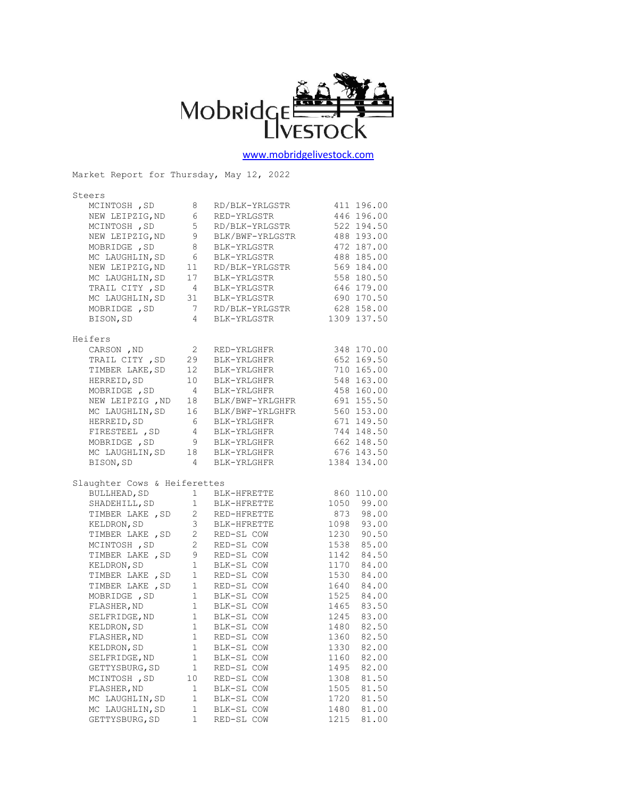

## [www.mobridgelivestock.com](http://www.mobridgelivestock.com/)

Market Report for Thursday, May 12, 2022

| Steers                       |                        |                 |               |
|------------------------------|------------------------|-----------------|---------------|
| MCINTOSH , SD                | 8                      | RD/BLK-YRLGSTR  | 411 196.00    |
| NEW LEIPZIG, ND              | 6                      | RED-YRLGSTR     | 446 196.00    |
| MCINTOSH, SD                 | 5                      | RD/BLK-YRLGSTR  | 522 194.50    |
| NEW LEIPZIG, ND              | 9                      | BLK/BWF-YRLGSTR | 488 193.00    |
| MOBRIDGE , SD                | 8                      | BLK-YRLGSTR     | 472 187.00    |
| MC LAUGHLIN, SD              | 6                      | BLK-YRLGSTR     | 488 185.00    |
| NEW LEIPZIG, ND              | 11                     | RD/BLK-YRLGSTR  | 569 184.00    |
| MC LAUGHLIN, SD              | 17                     | BLK-YRLGSTR     | 558 180.50    |
| TRAIL CITY, SD               | $\overline{4}$         | BLK-YRLGSTR     | 646 179.00    |
| MC LAUGHLIN, SD              | 31                     | BLK-YRLGSTR     | 690 170.50    |
| MOBRIDGE , SD                | 7                      | RD/BLK-YRLGSTR  | 628 158.00    |
| BISON, SD                    | $\overline{4}$         | BLK-YRLGSTR     | 1309 137.50   |
| Heifers                      |                        |                 |               |
| CARSON , ${\tt ND}$          | 2                      | RED-YRLGHFR     | 348 170.00    |
| TRAIL CITY, SD               | 29                     | BLK-YRLGHFR     | 652 169.50    |
| TIMBER LAKE, SD              | 12                     | BLK-YRLGHFR     | 710 165.00    |
| HERREID, SD                  | 10                     | BLK-YRLGHFR     | 548 163.00    |
| MOBRIDGE , SD                | $\overline{4}$         | BLK-YRLGHFR     | 458 160.00    |
| NEW LEIPZIG , ND             | 18                     | BLK/BWF-YRLGHFR | 691 155.50    |
| MC LAUGHLIN, SD              | 16                     | BLK/BWF-YRLGHFR | 560 153.00    |
| HERREID, SD                  | - 6                    | BLK-YRLGHFR     | 671 149.50    |
| FIRESTEEL , SD               | $\overline{4}$         | BLK-YRLGHFR     | 744 148.50    |
| MOBRIDGE , SD                | 9                      | BLK-YRLGHFR     | 662 148.50    |
| MC LAUGHLIN, SD              | 18                     | BLK-YRLGHFR     | 676 143.50    |
| BISON, SD                    | $\overline{4}$         | BLK-YRLGHFR     | 1384 134.00   |
| Slaughter Cows & Heiferettes |                        |                 |               |
| BULLHEAD, SD                 | $1 \quad$              | BLK-HFRETTE     | 860 110.00    |
| SHADEHILL, SD                | 1                      | BLK-HFRETTE     | 1050 99.00    |
| TIMBER LAKE , SD             |                        | 2 RED-HFRETTE   | 873 98.00     |
| KELDRON, SD                  | 3 <sup>7</sup>         | BLK-HFRETTE     | 1098 93.00    |
| TIMBER LAKE , SD             | $\overline{2}$         | RED-SL COW      | 90.50<br>1230 |
| MCINTOSH , SD                | $\overline{2}$         | RED-SL COW      | 1538<br>85.00 |
| TIMBER LAKE , SD             | 9                      | RED-SL COW      | 84.50<br>1142 |
| KELDRON, SD                  | $\mathbf{1}$           | BLK-SL COW      | 1170<br>84.00 |
| TIMBER LAKE , SD             | $\mathbf{1}$           | RED-SL COW      | 1530<br>84.00 |
| TIMBER LAKE , SD             | 1                      | RED-SL COW      | 1640<br>84.00 |
| MOBRIDGE , SD                | $\mathbf{1}$           | BLK-SL COW      | 1525 84.00    |
| FLASHER, ND                  | $\mathbf{1}$           | BLK-SL COW      | 1465 83.50    |
| SELFRIDGE, ND                | $1 \quad \blacksquare$ | BLK-SL COW      | 1245 83.00    |
| KELDRON, SD                  |                        | 1 BLK-SL COW    | 1480 82.50    |
| FLASHER, ND                  | 1                      | RED-SL COW      | 82.50<br>1360 |
| KELDRON, SD                  | 1                      | BLK-SL COW      | 82.00<br>1330 |
| SELFRIDGE, ND                | 1                      | BLK-SL COW      | 1160<br>82.00 |
| GETTYSBURG, SD               | 1                      | RED-SL COW      | 1495<br>82.00 |
| MCINTOSH, SD                 | 10                     | RED-SL COW      | 81.50<br>1308 |
| FLASHER, ND                  | 1                      | BLK-SL COW      | 81.50<br>1505 |
| MC LAUGHLIN, SD              | $\mathbf 1$            | BLK-SL COW      | 81.50<br>1720 |
| MC LAUGHLIN, SD              | $\mathbf 1$            | BLK-SL COW      | 81.00<br>1480 |
| GETTYSBURG, SD               | 1                      | RED-SL COW      | 81.00<br>1215 |